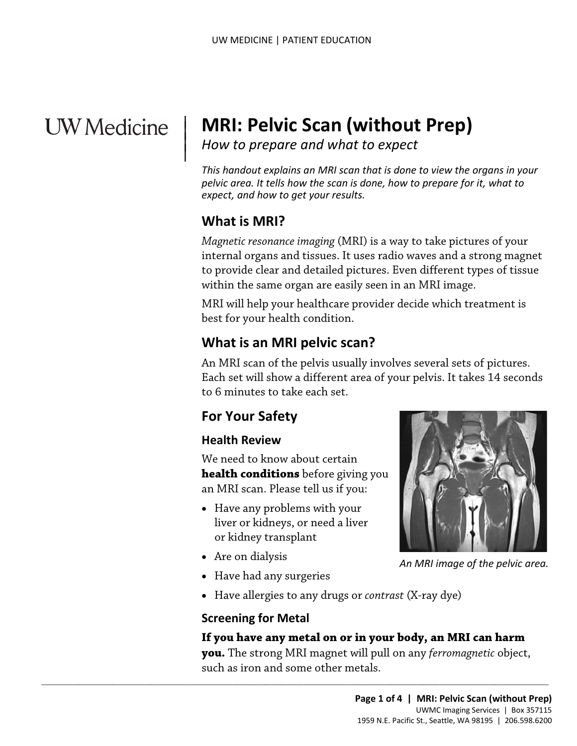# **UW** Medicine

## | **MRI: Pelvic Scan (without Prep)**

*How to prepare and what to expect* 

*This handout explains an MRI scan that is done to view the organs in your pelvic area. It tells how the scan is done, how to prepare for it, what to expect, and how to get your results.* 

## **What is MRI?**

 $\vert$  $\parallel$ 

> *Magnetic resonance imaging* (MRI) is a way to take pictures of your internal organs and tissues. It uses radio waves and a strong magnet to provide clear and detailed pictures. Even different types of tissue within the same organ are easily seen in an MRI image.

 best for your health condition. MRI will help your healthcare provider decide which treatment is

## **What is an MRI pelvic scan?**

 An MRI scan of the pelvis usually involves several sets of pictures. Within the same organ are easily seen in an MKI image.<br>MRI will help your healthcare provider decide which treatment<br>best for your health condition.<br>**What is an MRI pelvic scan?**<br>An MRI scan of the pelvis usually involves Each set will show a different area of your pelvis. It takes 14 seconds to 6 minutes to take each set.

## **For Your Safety**

#### **Health Review**

 an MRI scan. Please tell us if you: We need to know about certain **health conditions** before giving you

 $\_$  , and the set of the set of the set of the set of the set of the set of the set of the set of the set of the set of the set of the set of the set of the set of the set of the set of the set of the set of the set of th

- Have any problems with your liver or kidneys, or need a liver or kidney transplant
- Are on dialysis
- Have had any surgeries
- Have allergies to any drugs or *contrast* (X-ray dye)

#### **Screening for Metal**

#### **If you have any metal on or in your body, an MRI can harm**

 **you.** The strong MRI magnet will pull on any *ferromagnetic* object, such as iron and some other metals.



 *An MRI image of the pelvic area.*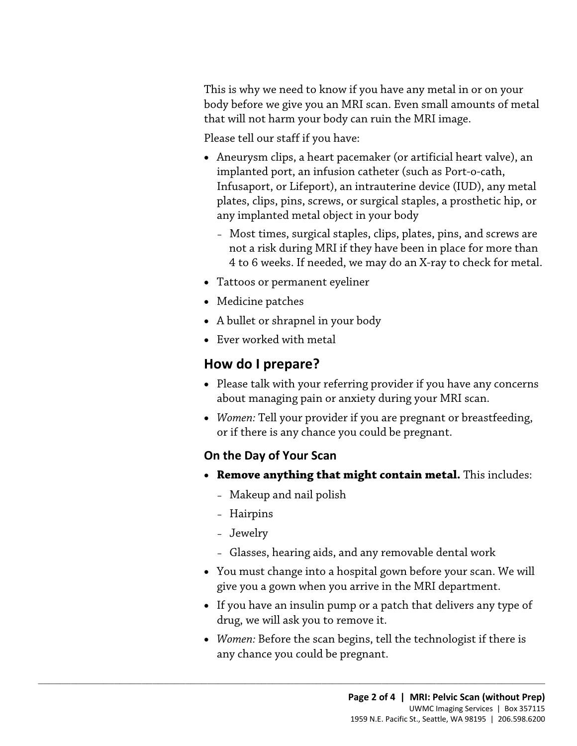This is why we need to know if you have any metal in or on your body before we give you an MRI scan. Even small amounts of metal that will not harm your body can ruin the MRI image.

Please tell our staff if you have:

- Aneurysm clips, a heart pacemaker (or artificial heart valve), an implanted port, an infusion catheter (such as Port-o-cath, Infusaport, or Lifeport), an intrauterine device (IUD), any metal plates, clips, pins, screws, or surgical staples, a prosthetic hip, or any implanted metal object in your body
	- Most times, surgical staples, clips, plates, pins, and screws are not a risk during MRI if they have been in place for more than 4 to 6 weeks. If needed, we may do an X-ray to check for metal.
- Tattoos or permanent eyeliner
- Medicine patches
- A bullet or shrapnel in your body
- Ever worked with metal

## **How do I prepare?**

- • Please talk with your referring provider if you have any concerns • Medicine patches<br>
• A bullet or shrapnel in your body<br>
• Ever worked with metal<br> **How do I prepare?**<br>
• Please talk with your referring provider if you have any concer<br>
about managing pain or anxiety during your MRI scan about managing pain or anxiety during your MRI scan.
	- *Women:* Tell your provider if you are pregnant or breastfeeding, or if there is any chance you could be pregnant.

#### **On the Day of Your Scan**

- • **Remove anything that might contain metal.** This includes:
	- Makeup and nail polish

 $\_$  ,  $\_$  ,  $\_$  ,  $\_$  ,  $\_$  ,  $\_$  ,  $\_$  ,  $\_$  ,  $\_$  ,  $\_$  ,  $\_$  ,  $\_$  ,  $\_$  ,  $\_$  ,  $\_$  ,  $\_$  ,  $\_$  ,  $\_$  ,  $\_$  ,  $\_$  ,  $\_$  ,  $\_$  ,  $\_$  ,  $\_$  ,  $\_$  ,  $\_$  ,  $\_$  ,  $\_$  ,  $\_$  ,  $\_$  ,  $\_$  ,  $\_$  ,  $\_$  ,  $\_$  ,  $\_$  ,  $\_$  ,  $\_$  ,

- Hairpins
- Jewelry
- Glasses, hearing aids, and any removable dental work
- You must change into a hospital gown before your scan. We will give you a gown when you arrive in the MRI department.
- drug, we will ask you to remove it. • If you have an insulin pump or a patch that delivers any type of
- *Women:* Before the scan begins, tell the technologist if there is any chance you could be pregnant.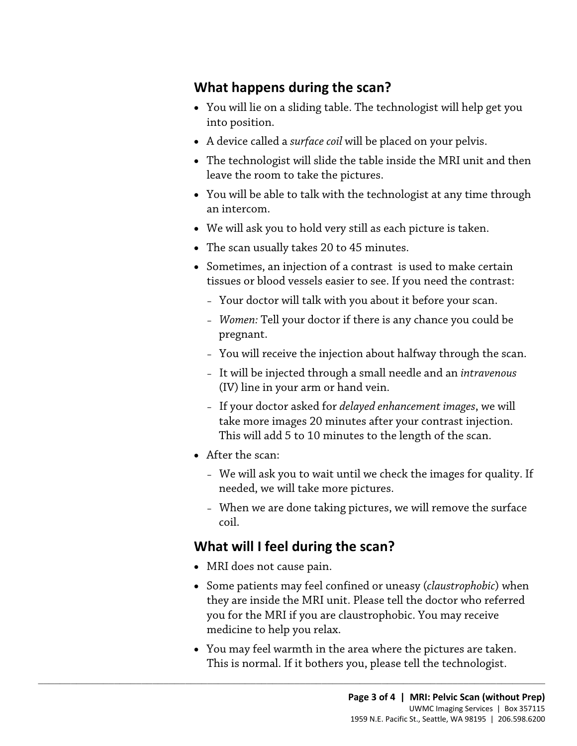## **What happens during the scan?**

- You will lie on a sliding table. The technologist will help get you into position.
- A device called a *surface coil* will be placed on your pelvis.
- The technologist will slide the table inside the MRI unit and then leave the room to take the pictures.
- • You will be able to talk with the [technologist](javascript:glossAry() at any time through an intercom.
- We will ask you to hold very still as each picture is taken.
- The scan usually takes 20 to 45 minutes.
- Sometimes, an injection of a [contrast](javascript:glossAry() is used to make certain tissues or blood vessels easier to see. If you need the contrast:
	- Your doctor will talk with you about it before your scan.
- Your doctor will talk with you about it before your scan.<br>
 *Women*: Tell your doctor if there is any chance you could be<br>
pregnant.<br>
 You will receive the injection about halfway through the scan.<br>
 It will be inject – *Women:* Tell your doctor if there is any chance you could be pregnant.
	- You will receive the injection about halfway through the scan.
	- It will be injected through a small needle and an *intravenous*  (IV) line in your arm or hand vein.
	- If your doctor asked for *delayed enhancement images*, we will take more images 20 minutes after your contrast injection. This will add 5 to 10 minutes to the length of the scan.
	- After the scan:
		- – We will ask you to wait until we check the images for quality. If needed, we will take more pictures.
		- – When we are done taking pictures, we will remove the surface coil.

### **What will I feel during the scan?**

 $\_$  ,  $\_$  ,  $\_$  ,  $\_$  ,  $\_$  ,  $\_$  ,  $\_$  ,  $\_$  ,  $\_$  ,  $\_$  ,  $\_$  ,  $\_$  ,  $\_$  ,  $\_$  ,  $\_$  ,  $\_$  ,  $\_$  ,  $\_$  ,  $\_$  ,  $\_$  ,  $\_$  ,  $\_$  ,  $\_$  ,  $\_$  ,  $\_$  ,  $\_$  ,  $\_$  ,  $\_$  ,  $\_$  ,  $\_$  ,  $\_$  ,  $\_$  ,  $\_$  ,  $\_$  ,  $\_$  ,  $\_$  ,  $\_$  ,

- MRI does not cause pain.
- Some patients may feel confined or uneasy (*claustrophobic*) when they are inside the MRI unit. Please tell the doctor who referred you for the MRI if you are claustrophobic. You may receive medicine to help you relax.
- • You may feel warmth in the area where the pictures are taken. This is normal. If it bothers you, please tell the [technologist.](javascript:glossAry()